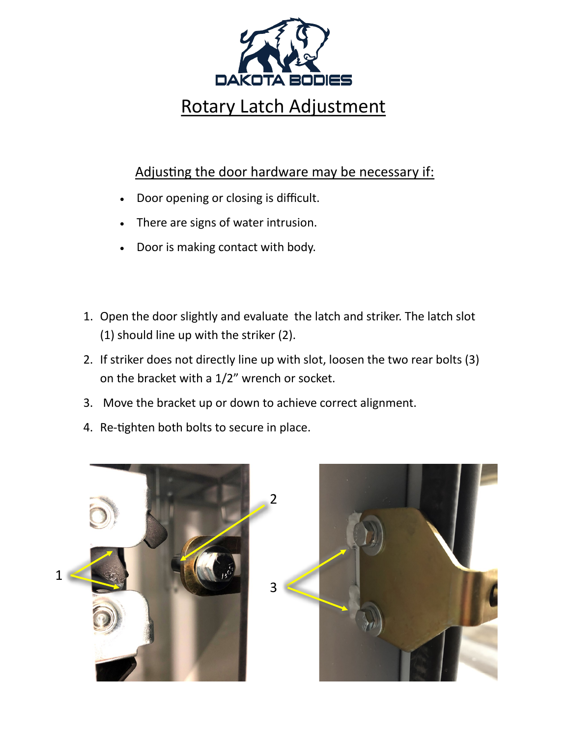

## Adjusting the door hardware may be necessary if:

- Door opening or closing is difficult.
- There are signs of water intrusion.
- Door is making contact with body.
- 1. Open the door slightly and evaluate the latch and striker. The latch slot (1) should line up with the striker (2).
- 2. If striker does not directly line up with slot, loosen the two rear bolts (3) on the bracket with a 1/2" wrench or socket.
- 3. Move the bracket up or down to achieve correct alignment.
- 4. Re-tighten both bolts to secure in place.



1